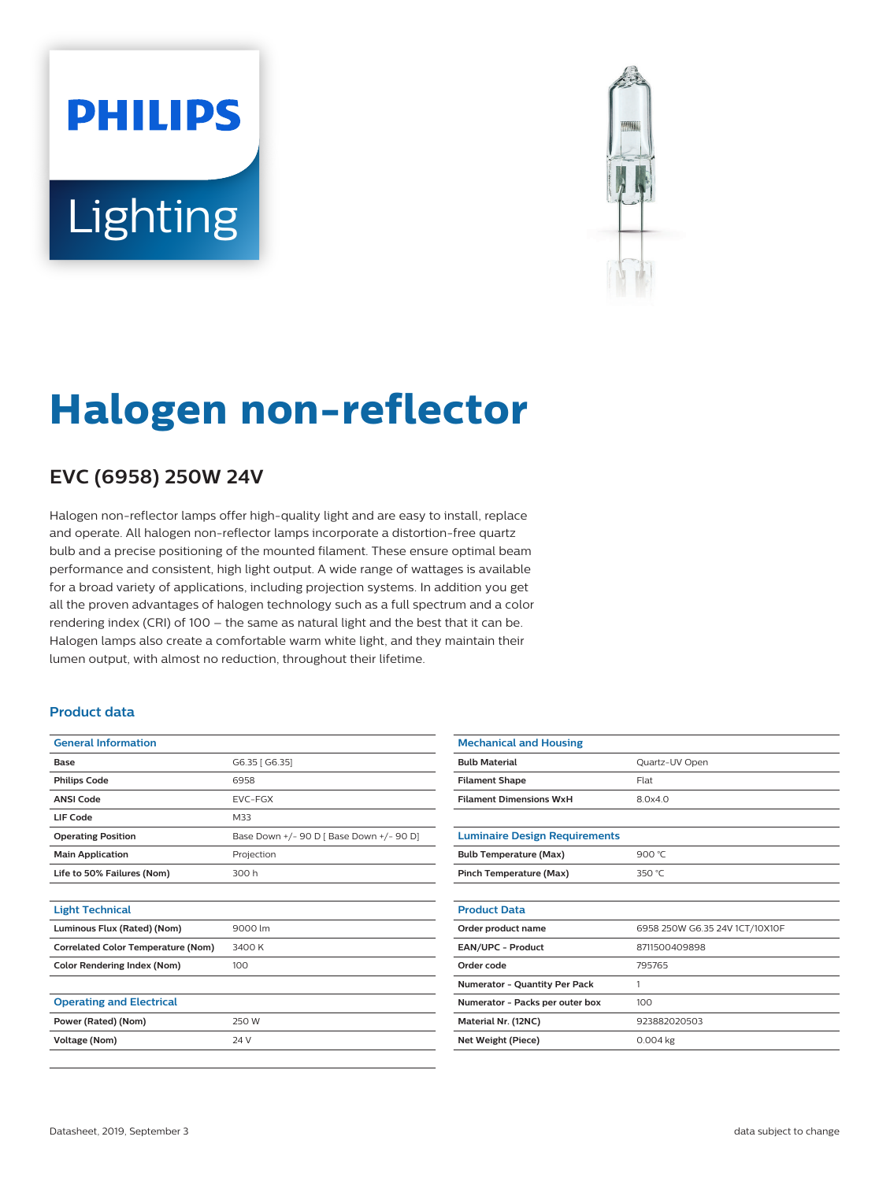# **PHILIPS Lighting**



## **Halogen non-reflector**

### **EVC (6958) 250W 24V**

Halogen non-reflector lamps offer high-quality light and are easy to install, replace and operate. All halogen non-reflector lamps incorporate a distortion-free quartz bulb and a precise positioning of the mounted filament. These ensure optimal beam performance and consistent, high light output. A wide range of wattages is available for a broad variety of applications, including projection systems. In addition you get all the proven advantages of halogen technology such as a full spectrum and a color rendering index (CRI) of 100 – the same as natural light and the best that it can be. Halogen lamps also create a comfortable warm white light, and they maintain their lumen output, with almost no reduction, throughout their lifetime.

#### **Product data**

| <b>General Information</b>                |                                          |  |  |  |  |
|-------------------------------------------|------------------------------------------|--|--|--|--|
| Base                                      | G6.35 [ G6.35]                           |  |  |  |  |
| <b>Philips Code</b>                       | 6958                                     |  |  |  |  |
| <b>ANSI Code</b>                          | <b>EVC-FGX</b>                           |  |  |  |  |
| LIF Code                                  | M33                                      |  |  |  |  |
| <b>Operating Position</b>                 | Base Down +/- 90 D [ Base Down +/- 90 D] |  |  |  |  |
| <b>Main Application</b>                   | Projection                               |  |  |  |  |
| Life to 50% Failures (Nom)                | 300 h                                    |  |  |  |  |
|                                           |                                          |  |  |  |  |
| <b>Light Technical</b>                    |                                          |  |  |  |  |
| Luminous Flux (Rated) (Nom)               | 9000 lm                                  |  |  |  |  |
| <b>Correlated Color Temperature (Nom)</b> | 3400K                                    |  |  |  |  |
| <b>Color Rendering Index (Nom)</b>        | 100                                      |  |  |  |  |
|                                           |                                          |  |  |  |  |
| <b>Operating and Electrical</b>           |                                          |  |  |  |  |
| Power (Rated) (Nom)                       | 250 W                                    |  |  |  |  |
| Voltage (Nom)                             | 24 V                                     |  |  |  |  |
|                                           |                                          |  |  |  |  |

| <b>Mechanical and Housing</b>  |  |  |  |  |  |  |  |
|--------------------------------|--|--|--|--|--|--|--|
| Quartz-UV Open                 |  |  |  |  |  |  |  |
| Flat                           |  |  |  |  |  |  |  |
| 8.0x4.0                        |  |  |  |  |  |  |  |
|                                |  |  |  |  |  |  |  |
|                                |  |  |  |  |  |  |  |
| 900 $°C$                       |  |  |  |  |  |  |  |
| 350 $°C$                       |  |  |  |  |  |  |  |
|                                |  |  |  |  |  |  |  |
|                                |  |  |  |  |  |  |  |
| 6958 250W G6.35 24V 1CT/10X10F |  |  |  |  |  |  |  |
| 8711500409898                  |  |  |  |  |  |  |  |
| 795765                         |  |  |  |  |  |  |  |
| 1                              |  |  |  |  |  |  |  |
| 100                            |  |  |  |  |  |  |  |
| 923882020503                   |  |  |  |  |  |  |  |
| $0.004$ kg                     |  |  |  |  |  |  |  |
|                                |  |  |  |  |  |  |  |